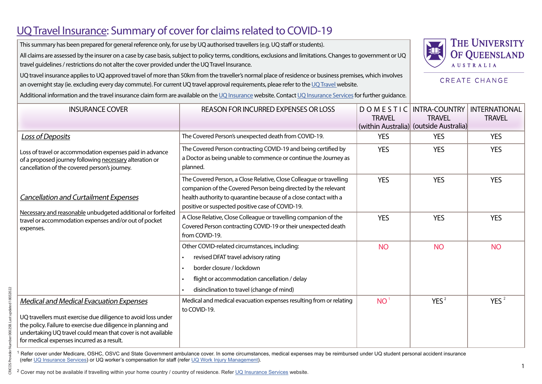## UQ Travel Insurance: Summary of cover for claims related to COVID-19

This summary has been prepared for general reference only, for use by UQ authorised travellers (e.g. UQ staff or students).

All claims are assessed by the insurer on a case by case basis, subject to policy terms, conditions, exclusions and limitations. Changes to government or UQ travel guidelines / restrictions do not alter the cover provided under the UQ Travel Insurance.



**CREATE CHANGE** 

UQ travel insurance applies to UQ approved travel of more than 50km from the traveller's normal place of residence or business premises, which involves an overnight stay (ie. excluding every day commute). For current UQ travel approval requirements, pleae refer to the [UQ Travel](https://travel.uq.edu.au/) website.

Additional information and the travel insurance claim form are available on the [UQ Insurance](https://governance-risk.uq.edu.au/functions-and-services/insurance) website. Contact [UQ Insurance Services](mailto:insurance%40uq.edu.au?subject=) for further quidance.

| <b>INSURANCE COVER</b>                                                                                                                                                                                                                                                                         | <b>REASON FOR INCURRED EXPENSES OR LOSS</b>                                                                                                                                                                                                                   | DOMESTIC<br><b>TRAVEL</b> | <b>INTRA-COUNTRY</b><br><b>TRAVEL</b><br>(within Australia) (outside Australia) | <b>INTERNATIONAL</b><br><b>TRAVEL</b> |
|------------------------------------------------------------------------------------------------------------------------------------------------------------------------------------------------------------------------------------------------------------------------------------------------|---------------------------------------------------------------------------------------------------------------------------------------------------------------------------------------------------------------------------------------------------------------|---------------------------|---------------------------------------------------------------------------------|---------------------------------------|
| Loss of Deposits                                                                                                                                                                                                                                                                               | The Covered Person's unexpected death from COVID-19.                                                                                                                                                                                                          | <b>YES</b>                | <b>YES</b>                                                                      | <b>YES</b>                            |
| Loss of travel or accommodation expenses paid in advance<br>of a proposed journey following necessary alteration or<br>cancellation of the covered person's journey.                                                                                                                           | The Covered Person contracting COVID-19 and being certified by<br>a Doctor as being unable to commence or continue the Journey as<br>planned.                                                                                                                 | <b>YES</b>                | <b>YES</b>                                                                      | <b>YES</b>                            |
| <b>Cancellation and Curtailment Expenses</b><br>Necessary and reasonable unbudgeted additional or forfeited<br>travel or accommodation expenses and/or out of pocket<br>expenses.                                                                                                              | The Covered Person, a Close Relative, Close Colleague or travelling<br>companion of the Covered Person being directed by the relevant<br>health authority to quarantine because of a close contact with a<br>positive or suspected positive case of COVID-19. | <b>YES</b>                | <b>YES</b>                                                                      | <b>YES</b>                            |
|                                                                                                                                                                                                                                                                                                | A Close Relative, Close Colleague or travelling companion of the<br>Covered Person contracting COVID-19 or their unexpected death<br>from COVID-19.                                                                                                           | <b>YES</b>                | <b>YES</b>                                                                      | <b>YES</b>                            |
|                                                                                                                                                                                                                                                                                                | Other COVID-related circumstances, including:<br>revised DFAT travel advisory rating<br>border closure / lockdown<br>flight or accommodation cancellation / delay<br>disinclination to travel (change of mind)                                                | <b>NO</b>                 | <b>NO</b>                                                                       | <b>NO</b>                             |
| <b>Medical and Medical Evacuation Expenses</b><br>UQ travellers must exercise due diligence to avoid loss under<br>the policy. Failure to exercise due diligence in planning and<br>undertaking UQ travel could mean that cover is not available<br>for medical expenses incurred as a result. | Medical and medical evacuation expenses resulting from or relating<br>to COVID-19.                                                                                                                                                                            | NO <sup>1</sup>           | YES <sup>2</sup>                                                                | YES $^2$                              |

<sup>1</sup> Refer cover under Medicare, OSHC, OSVC and State Government ambulance cover. In some circumstances, medical expenses may be reimbursed under UQ student personal accident insurance (refer [UQ Insurance Services](https://governance-risk.uq.edu.au/functions-and-services/insurance/student-personal-accident-insurance)) or UQ worker's compensation for staff (refer [UQ Work Injury Management\)](https://staff.uq.edu.au/information-and-services/health-safety-wellbeing/health-safety-workplace/incidents-injuries-hazards/injury).